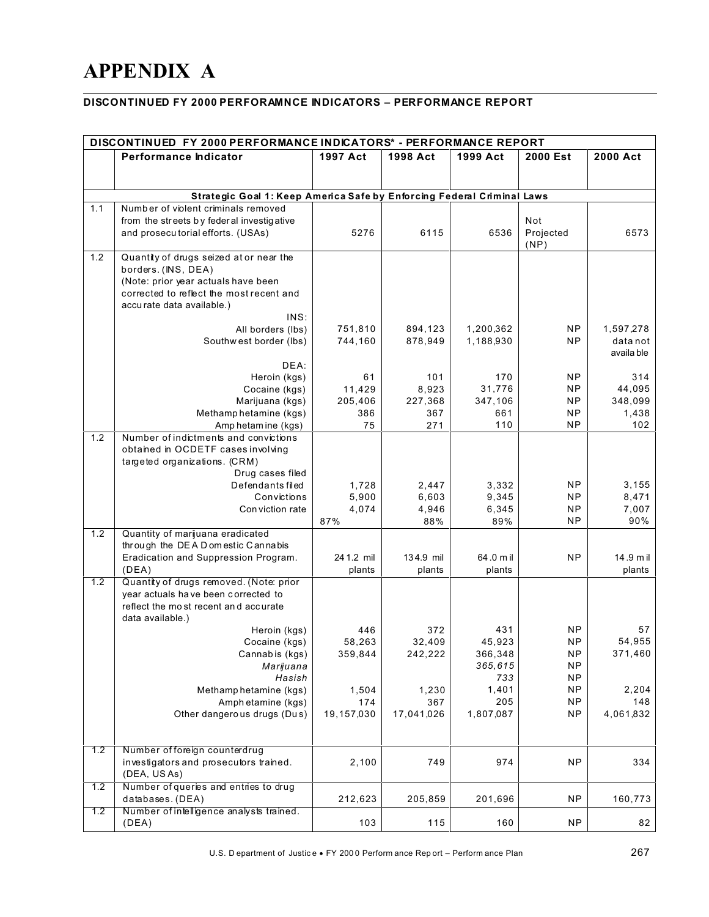## **APPENDIX A**

## DISCONTINUED FY 2000 PERFORAMNCE INDICATORS - PERFORMANCE REPORT

|                  | DISCONTINUED FY 2000 PERFORMANCE INDICATORS* - PERFORMANCE REPORT      |               |               |               |                  |              |  |  |  |
|------------------|------------------------------------------------------------------------|---------------|---------------|---------------|------------------|--------------|--|--|--|
|                  | Performance Indicator                                                  | 1997 Act      | 1998 Act      | 1999 Act      | 2000 Est         | 2000 Act     |  |  |  |
|                  |                                                                        |               |               |               |                  |              |  |  |  |
|                  |                                                                        |               |               |               |                  |              |  |  |  |
|                  | Strategic Goal 1: Keep America Safe by Enforcing Federal Criminal Laws |               |               |               |                  |              |  |  |  |
| 1.1              | Number of violent criminals removed                                    |               |               |               |                  |              |  |  |  |
|                  | from the streets by federal investigative                              |               |               |               | Not              |              |  |  |  |
|                  | and prosecutorial efforts. (USAs)                                      | 5276          | 6115          | 6536          | Projected        | 6573         |  |  |  |
| 1.2              | Quantity of drugs seized at or near the                                |               |               |               | (NP)             |              |  |  |  |
|                  | borders. (INS, DEA)                                                    |               |               |               |                  |              |  |  |  |
|                  | (Note: prior year actuals have been                                    |               |               |               |                  |              |  |  |  |
|                  | corrected to reflect the most recent and                               |               |               |               |                  |              |  |  |  |
|                  | accurate data available.)                                              |               |               |               |                  |              |  |  |  |
|                  | INS:                                                                   |               |               |               |                  |              |  |  |  |
|                  | All borders (lbs)                                                      | 751,810       | 894,123       | 1,200,362     | ΝP               | 1,597,278    |  |  |  |
|                  | Southwest border (lbs)                                                 | 744,160       | 878,949       | 1,188,930     | <b>NP</b>        | data not     |  |  |  |
|                  |                                                                        |               |               |               |                  | availa ble   |  |  |  |
|                  | DEA:                                                                   |               | 101           | 170           | NP               | 314          |  |  |  |
|                  | Heroin (kgs)<br>Cocaine (kgs)                                          | 61<br>11,429  | 8,923         | 31,776        | <b>NP</b>        | 44,095       |  |  |  |
|                  | Marijuana (kgs)                                                        | 205,406       | 227,368       | 347,106       | ΝP               | 348,099      |  |  |  |
|                  | Methamp hetamine (kgs)                                                 | 386           | 367           | 661           | ΝP               | 1,438        |  |  |  |
|                  | Amp hetam ine (kgs)                                                    | 75            | 271           | 110           | <b>NP</b>        | 102          |  |  |  |
| 1.2              | Number of indictments and convictions                                  |               |               |               |                  |              |  |  |  |
|                  | obtained in OCDETF cases involving                                     |               |               |               |                  |              |  |  |  |
|                  | targeted organizations. (CRM)                                          |               |               |               |                  |              |  |  |  |
|                  | Drug cases filed                                                       |               |               |               |                  |              |  |  |  |
|                  | Defendants filed                                                       | 1,728         | 2,447         | 3,332         | ΝP               | 3,155        |  |  |  |
|                  | Convictions                                                            | 5,900         | 6,603         | 9,345         | ΝP               | 8,471        |  |  |  |
|                  | Con viction rate                                                       | 4,074<br>87%  | 4,946<br>88%  | 6,345<br>89%  | ΝP<br><b>NP</b>  | 7,007<br>90% |  |  |  |
| 1.2              | Quantity of marijuana eradicated                                       |               |               |               |                  |              |  |  |  |
|                  | through the DEA D om estic C annabis                                   |               |               |               |                  |              |  |  |  |
|                  | Eradication and Suppression Program.                                   | 24 1.2 mil    | 134.9 mil     | 64.0 mil      | <b>NP</b>        | 14.9 mil     |  |  |  |
|                  | (DEA)                                                                  | plants        | plants        | plants        |                  | plants       |  |  |  |
| 1.2              | Quantity of drugs removed. (Note: prior                                |               |               |               |                  |              |  |  |  |
|                  | year actuals have been corrected to                                    |               |               |               |                  |              |  |  |  |
|                  | reflect the most recent and accurate                                   |               |               |               |                  |              |  |  |  |
|                  | data available.)                                                       |               |               |               |                  |              |  |  |  |
|                  | Heroin (kgs)                                                           | 446<br>58,263 | 372<br>32,409 | 431<br>45,923 | <b>NP</b><br>NP  | 57<br>54,955 |  |  |  |
|                  | Cocaine (kgs)                                                          | 359,844       | 242,222       | 366,348       |                  | 371,460      |  |  |  |
|                  | Cannabis (kgs)<br>Marijuana                                            |               |               | 365,615       | NP.<br><b>NP</b> |              |  |  |  |
|                  | Hasish                                                                 |               |               | 733           | <b>NP</b>        |              |  |  |  |
|                  | Methamphetamine (kgs)                                                  | 1,504         | 1,230         | 1,401         | NP               | 2,204        |  |  |  |
|                  | Amph etamine (kgs)                                                     | 174           | 367           | 205           | <b>NP</b>        | 148          |  |  |  |
|                  | Other dangerous drugs (Dus)                                            | 19,157,030    | 17,041,026    | 1,807,087     | NP.              | 4,061,832    |  |  |  |
|                  |                                                                        |               |               |               |                  |              |  |  |  |
|                  |                                                                        |               |               |               |                  |              |  |  |  |
| 1.2              | Number of foreign counterdrug                                          |               |               |               |                  |              |  |  |  |
|                  | investigators and prosecutors trained.                                 | 2,100         | 749           | 974           | <b>NP</b>        | 334          |  |  |  |
|                  | (DEA, USAs)                                                            |               |               |               |                  |              |  |  |  |
| $\overline{1.2}$ | Number of queries and entries to drug                                  |               |               |               | NP               | 160,773      |  |  |  |
| 1.2              | databases. (DEA)<br>Number of intelligence analysts trained.           | 212,623       | 205,859       | 201,696       |                  |              |  |  |  |
|                  | (DEA)                                                                  | 103           | 115           | 160           | <b>NP</b>        | 82           |  |  |  |
|                  |                                                                        |               |               |               |                  |              |  |  |  |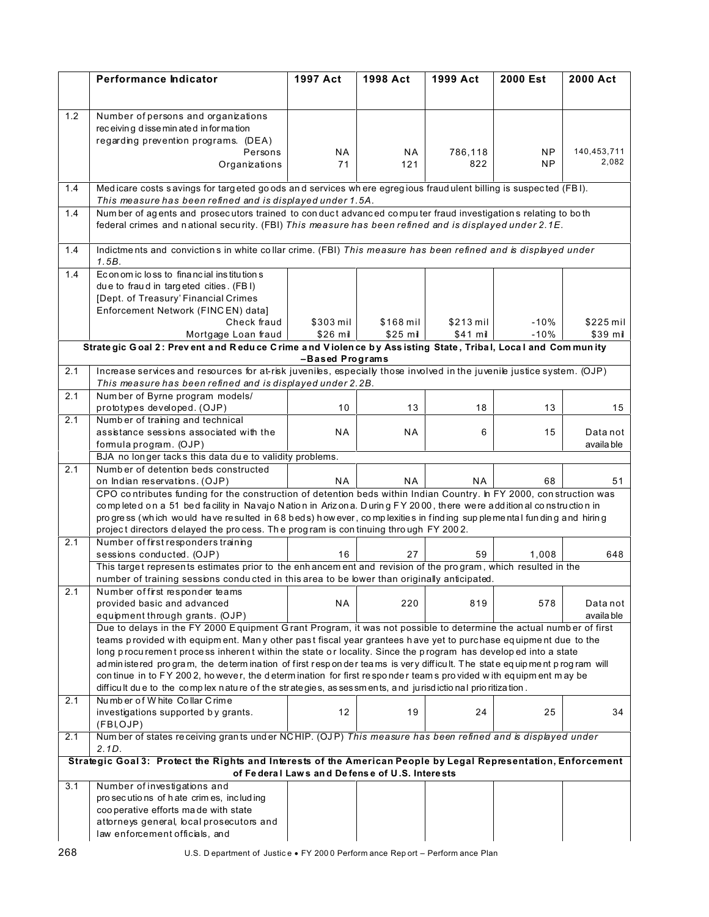|     | Performance Indicator                                                                                                                                                                                                                  | 1997 Act                                      | 1998 Act  | 1999 Act  | 2000 Est | 2000 Act    |  |
|-----|----------------------------------------------------------------------------------------------------------------------------------------------------------------------------------------------------------------------------------------|-----------------------------------------------|-----------|-----------|----------|-------------|--|
|     |                                                                                                                                                                                                                                        |                                               |           |           |          |             |  |
| 1.2 | Number of persons and organizations                                                                                                                                                                                                    |                                               |           |           |          |             |  |
|     | rec eiving disse min ated in for ma tion                                                                                                                                                                                               |                                               |           |           |          |             |  |
|     | regarding prevention programs. (DEA)                                                                                                                                                                                                   |                                               |           |           |          |             |  |
|     | Persons                                                                                                                                                                                                                                | <b>NA</b>                                     | ΝA        | 786,118   | ΝP       | 140,453,711 |  |
|     | Organizations                                                                                                                                                                                                                          | 71                                            | 121       | 822       | ΝP       | 2,082       |  |
| 1.4 | Medicare costs savings for targeted goods and services where egregious fraudulent billing is suspected (FBI).                                                                                                                          |                                               |           |           |          |             |  |
|     | This measure has been refined and is displayed under 1.5A.                                                                                                                                                                             |                                               |           |           |          |             |  |
| 1.4 | Number of agents and prosecutors trained to conduct advanced computer fraud investigations relating to both<br>federal crimes and national security. (FBI) This measure has been refined and is displayed under 2.1E.                  |                                               |           |           |          |             |  |
|     |                                                                                                                                                                                                                                        |                                               |           |           |          |             |  |
| 1.4 | Indictments and convictions in white collar crime. (FBI) This measure has been refined and is displayed under<br>1.5B.                                                                                                                 |                                               |           |           |          |             |  |
| 1.4 | Ec on om ic loss to financial institutions                                                                                                                                                                                             |                                               |           |           |          |             |  |
|     | due to fraud in targeted cities. (FBI)                                                                                                                                                                                                 |                                               |           |           |          |             |  |
|     | [Dept. of Treasury' Financial Crimes                                                                                                                                                                                                   |                                               |           |           |          |             |  |
|     | Enforcement Network (FINCEN) data]<br>Check fraud                                                                                                                                                                                      | \$303 mil                                     | \$168 mil | \$213 mil | $-10%$   | $$225$ mil  |  |
|     | Mortgage Loan fraud                                                                                                                                                                                                                    | \$26 mil                                      | $$25$ mi  | \$41 mil  | $-10%$   | \$39 mil    |  |
|     | Strategic Goal 2: Prevent and Reduce Crime and Violence by Assisting State, Tribal, Local and Community                                                                                                                                |                                               |           |           |          |             |  |
|     |                                                                                                                                                                                                                                        | -Based Programs                               |           |           |          |             |  |
| 2.1 | Increase services and resources for at-risk juveniles, especially those involved in the juvenile justice system. (OJP)                                                                                                                 |                                               |           |           |          |             |  |
|     | This measure has been refined and is displayed under 2.2B.                                                                                                                                                                             |                                               |           |           |          |             |  |
| 2.1 | Number of Byrne program models/<br>prototypes developed. (OJP)                                                                                                                                                                         | 10                                            | 13        | 18        | 13       | 15          |  |
| 2.1 | Number of training and technical                                                                                                                                                                                                       |                                               |           |           |          |             |  |
|     | assistance sessions associated with the                                                                                                                                                                                                | <b>NA</b>                                     | <b>NA</b> | 6         | 15       | Data not    |  |
|     | formula program. (OJP)                                                                                                                                                                                                                 |                                               |           |           |          | availa ble  |  |
|     | BJA no longer tacks this data due to validity problems.                                                                                                                                                                                |                                               |           |           |          |             |  |
| 2.1 | Number of detention beds constructed                                                                                                                                                                                                   |                                               |           |           |          |             |  |
|     | on Indian reservations. (OJP)                                                                                                                                                                                                          | <b>NA</b>                                     | ΝA        | <b>NA</b> | 68       | 51          |  |
|     | CPO contributes funding for the construction of detention beds within Indian Country. h FY 2000, construction was                                                                                                                      |                                               |           |           |          |             |  |
|     | completed on a 51 bed facility in Navajo Nation in Arizona. During FY 2000, there were additional construction in<br>progress (which would have resulted in 68 beds) how ever, complexities in finding supplemental funding and hiring |                                               |           |           |          |             |  |
|     | project directors delayed the process. The program is continuing through FY 2002.                                                                                                                                                      |                                               |           |           |          |             |  |
| 2.1 | Number of first responders training                                                                                                                                                                                                    |                                               |           |           |          |             |  |
|     | sessions conducted. (OJP)                                                                                                                                                                                                              | 16                                            | 27        | 59        | 1.008    | 648         |  |
|     | This target represents estimates prior to the enhancement and revision of the program, which resulted in the                                                                                                                           |                                               |           |           |          |             |  |
|     | number of training sessions conducted in this area to be lower than originally anticipated.                                                                                                                                            |                                               |           |           |          |             |  |
| 2.1 | Number of first responder teams                                                                                                                                                                                                        |                                               |           |           |          |             |  |
|     | provided basic and advanced                                                                                                                                                                                                            | NA                                            | 220       | 819       | 578      | Data not    |  |
|     | equipment through grants. (OJP)                                                                                                                                                                                                        |                                               |           |           |          | availa ble  |  |
|     | Due to delays in the FY 2000 Equipment Grant Program, it was not possible to determine the actual number of first<br>teams provided with equipment. Many other past fiscal year grantees have yet to purchase equipment due to the     |                                               |           |           |          |             |  |
|     | long procurement process inherent within the state or locality. Since the program has developed into a state                                                                                                                           |                                               |           |           |          |             |  |
|     | admin istered program, the determ ination of first responder teams is very difficult. The state equipment program will                                                                                                                 |                                               |           |           |          |             |  |
|     | continue in to FY 2002, however, the determination for first responder teams provided with equipment may be                                                                                                                            |                                               |           |           |          |             |  |
|     | difficult due to the complex nature of the strategies, as ses sments, and jurisdictional prioritization.                                                                                                                               |                                               |           |           |          |             |  |
| 2.1 | Number of White Collar Crime                                                                                                                                                                                                           |                                               |           |           |          |             |  |
|     | investigations supported by grants.                                                                                                                                                                                                    | 12                                            | 19        | 24        | 25       | 34          |  |
|     | (FBI, OJP)                                                                                                                                                                                                                             |                                               |           |           |          |             |  |
| 2.1 | Number of states receiving grants under NCHIP. (OJP) This measure has been refined and is displayed under<br>2.1D.                                                                                                                     |                                               |           |           |          |             |  |
|     | Strategic Goal 3: Protect the Rights and Interests of the American People by Legal Representation, Enforcement                                                                                                                         | of Federal Laws and Defense of U.S. Interests |           |           |          |             |  |
| 3.1 | Number of investigations and                                                                                                                                                                                                           |                                               |           |           |          |             |  |
|     | pro secutions of hate crimes, including                                                                                                                                                                                                |                                               |           |           |          |             |  |
|     | coo perative efforts made with state                                                                                                                                                                                                   |                                               |           |           |          |             |  |
|     | attorneys general, local prosecutors and<br>law enforcement officials, and                                                                                                                                                             |                                               |           |           |          |             |  |
|     |                                                                                                                                                                                                                                        |                                               |           |           |          |             |  |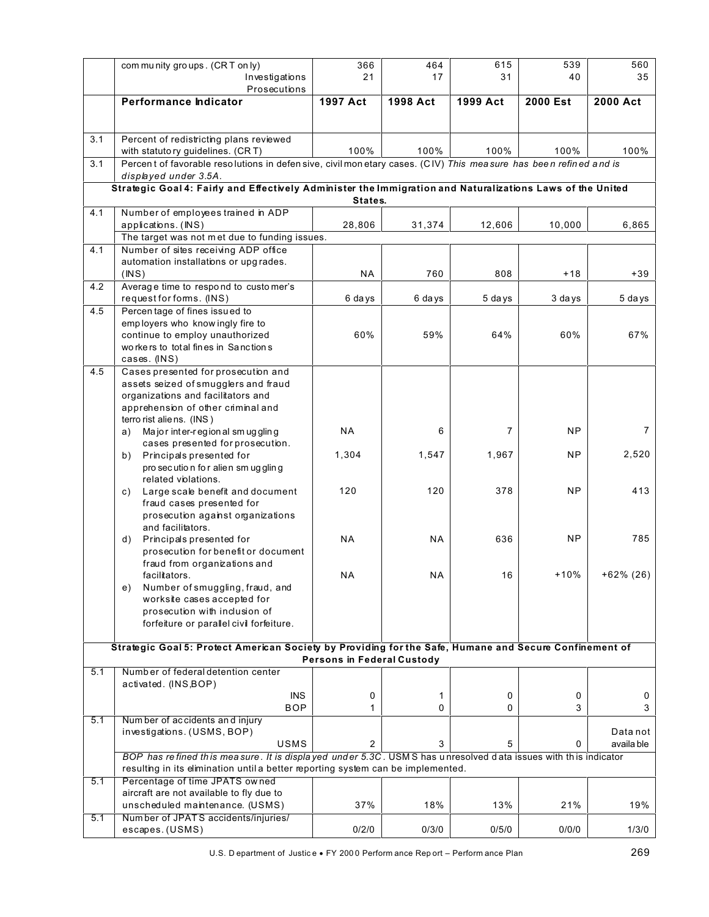|     | com munity groups. (CRT only)<br>Investigations                                                                                             | 366<br>21                         | 464<br>17 | 615<br>31      | 539<br>40       | 560<br>35      |  |
|-----|---------------------------------------------------------------------------------------------------------------------------------------------|-----------------------------------|-----------|----------------|-----------------|----------------|--|
|     | Prosecutions                                                                                                                                | 1997 Act                          |           |                |                 |                |  |
|     | <b>Performance Indicator</b>                                                                                                                |                                   | 1998 Act  | 1999 Act       | <b>2000 Est</b> | 2000 Act       |  |
| 3.1 | Percent of redistricting plans reviewed<br>with statuto ry guidelines. (CRT)                                                                | 100%                              | 100%      | 100%           | 100%            | 100%           |  |
| 3.1 | Percent of favorable resolutions in defen sive, civil mon etary cases. (CIV) This mea sure has been refined and is<br>displayed under 3.5A. |                                   |           |                |                 |                |  |
|     | Strategic Goal 4: Fairly and Effectively Administer the Immigration and Naturalizations Laws of the United                                  | States.                           |           |                |                 |                |  |
| 4.1 | Number of employees trained in ADP                                                                                                          |                                   |           |                |                 |                |  |
|     | applications. (INS)                                                                                                                         | 28,806                            | 31,374    | 12,606         | 10,000          | 6,865          |  |
|     | The target was not met due to funding issues.                                                                                               |                                   |           |                |                 |                |  |
| 4.1 | Number of sites receiving ADP office<br>automation installations or upgrades.                                                               |                                   |           |                |                 |                |  |
|     | (INS)                                                                                                                                       | ΝA                                | 760       | 808            | $+18$           | $+39$          |  |
| 4.2 | Average time to respond to customer's                                                                                                       |                                   |           |                |                 |                |  |
|     | request for forms. (INS)                                                                                                                    | 6 days                            | 6 days    | 5 days         | 3 days          | 5 days         |  |
| 4.5 | Percen tage of fines issued to                                                                                                              |                                   |           |                |                 |                |  |
|     | employers who know ingly fire to                                                                                                            |                                   |           |                |                 |                |  |
|     | continue to employ unauthorized                                                                                                             | 60%                               | 59%       | 64%            | 60%             | 67%            |  |
|     | wo rke rs to total fines in Sanctions                                                                                                       |                                   |           |                |                 |                |  |
| 4.5 | cases. (INS)<br>Cases presented for prosecution and                                                                                         |                                   |           |                |                 |                |  |
|     | assets seized of smugglers and fraud                                                                                                        |                                   |           |                |                 |                |  |
|     | organizations and facilitators and                                                                                                          |                                   |           |                |                 |                |  |
|     | apprehension of other criminal and                                                                                                          |                                   |           |                |                 |                |  |
|     | terro rist aliens. (INS)                                                                                                                    |                                   |           |                |                 |                |  |
|     | Major inter-regional smuggling<br>a)                                                                                                        | <b>NA</b>                         | 6         | $\overline{7}$ | <b>NP</b>       | $\overline{7}$ |  |
|     | cases presented for prosecution.                                                                                                            |                                   |           |                |                 |                |  |
|     | Principals presented for<br>b)                                                                                                              | 1,304                             | 1,547     | 1,967          | <b>NP</b>       | 2,520          |  |
|     | pro sec ution for alien sm uggling<br>related violations.                                                                                   |                                   |           |                |                 |                |  |
|     | Large scale benefit and document<br>C)<br>fraud cases presented for                                                                         | 120                               | 120       | 378            | <b>NP</b>       | 413            |  |
|     | prosecution against organizations<br>and facilitators.                                                                                      |                                   |           |                |                 |                |  |
|     | Principals presented for<br>d)                                                                                                              | <b>NA</b>                         | ΝA        | 636            | <b>NP</b>       | 785            |  |
|     | prosecution for benefit or document                                                                                                         |                                   |           |                |                 |                |  |
|     | fraud from organizations and                                                                                                                |                                   |           |                |                 |                |  |
|     | facilitators.                                                                                                                               | <b>NA</b>                         | ΝA        | 16             | $+10%$          | $+62\%$ (26)   |  |
|     | Number of smuggling, fraud, and<br>e)<br>worksite cases accepted for                                                                        |                                   |           |                |                 |                |  |
|     | prosecution with inclusion of                                                                                                               |                                   |           |                |                 |                |  |
|     | forfeiture or parallel civil forfeiture.                                                                                                    |                                   |           |                |                 |                |  |
|     |                                                                                                                                             |                                   |           |                |                 |                |  |
|     | Strategic Goal 5: Protect American Society by Providing for the Safe, Humane and Secure Confinement of                                      |                                   |           |                |                 |                |  |
|     |                                                                                                                                             | <b>Persons in Federal Custody</b> |           |                |                 |                |  |
| 5.1 | Number of federal detention center                                                                                                          |                                   |           |                |                 |                |  |
|     | activated. (INS, BOP)                                                                                                                       |                                   |           |                |                 |                |  |
|     | <b>INS</b>                                                                                                                                  | 0                                 | 1         | 0              | 0               | 0              |  |
| 5.1 | <b>BOP</b>                                                                                                                                  | $\mathbf{1}$                      | 0         | 0              | 3               | 3              |  |
|     | Num ber of accidents and injury<br>investigations. (USMS, BOP)                                                                              |                                   |           |                |                 | Data not       |  |
|     | USMS                                                                                                                                        | 2                                 | 3         | 5              | 0               | availa ble     |  |
|     | BOP has refined this mea sure. It is displayed under 5.3C. USMS has unresolved data issues with this indicator                              |                                   |           |                |                 |                |  |
|     | resulting in its elimination until a better reporting system can be implemented.                                                            |                                   |           |                |                 |                |  |
| 5.1 | Percentage of time JPATS owned                                                                                                              |                                   |           |                |                 |                |  |
|     | aircraft are not available to fly due to                                                                                                    |                                   |           |                |                 |                |  |
|     | unscheduled mantenance. (USMS)                                                                                                              | 37%                               | 18%       | 13%            | 21%             | 19%            |  |
| 5.1 | Number of JPATS accidents/injuries/                                                                                                         |                                   |           |                |                 |                |  |
|     | escapes. (USMS)                                                                                                                             | 0/2/0                             | 0/3/0     | 0/5/0          | 0/0/0           | 1/3/0          |  |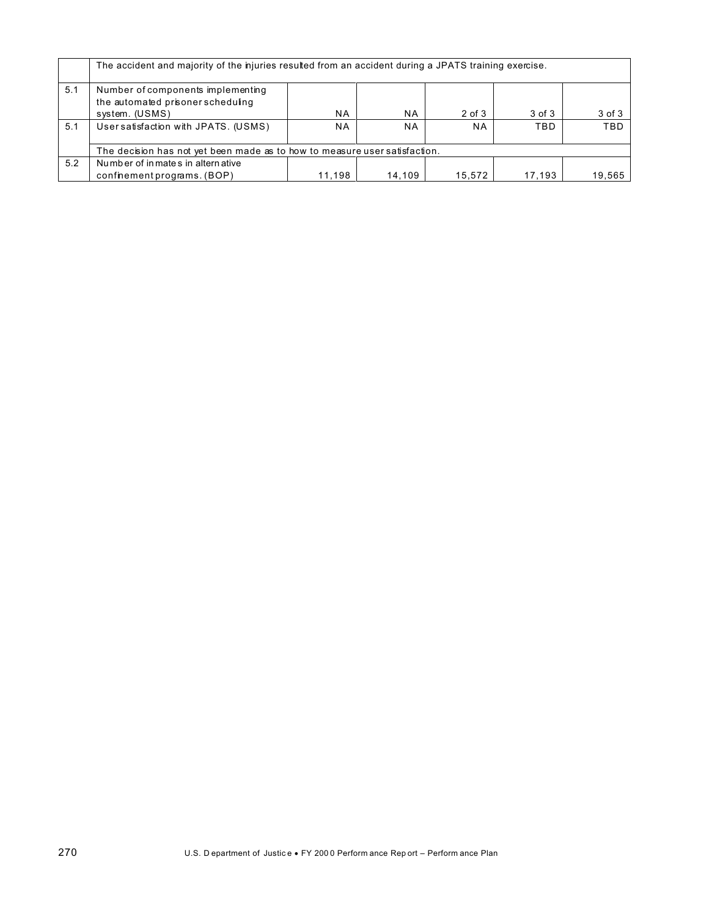|     | The accident and majority of the njuries resulted from an accident during a JPATS training exercise. |           |           |            |        |        |
|-----|------------------------------------------------------------------------------------------------------|-----------|-----------|------------|--------|--------|
| 5.1 | Number of components implementing<br>the automated prisoner scheduling                               |           |           |            |        |        |
|     | system. (USMS)                                                                                       | <b>NA</b> | NA        | $2$ of $3$ | 3 of 3 | 3 of 3 |
| 5.1 | User satisfaction with JPATS. (USMS)                                                                 | NA        | <b>NA</b> | <b>NA</b>  | TBD    | TBD    |
|     | The decision has not yet been made as to how to measure user satisfaction.                           |           |           |            |        |        |
| 5.2 | Number of in mate s in altern ative                                                                  |           |           |            |        |        |
|     | confinement programs. (BOP)                                                                          | 11.198    | 14.109    | 15.572     | 17.193 | 19,565 |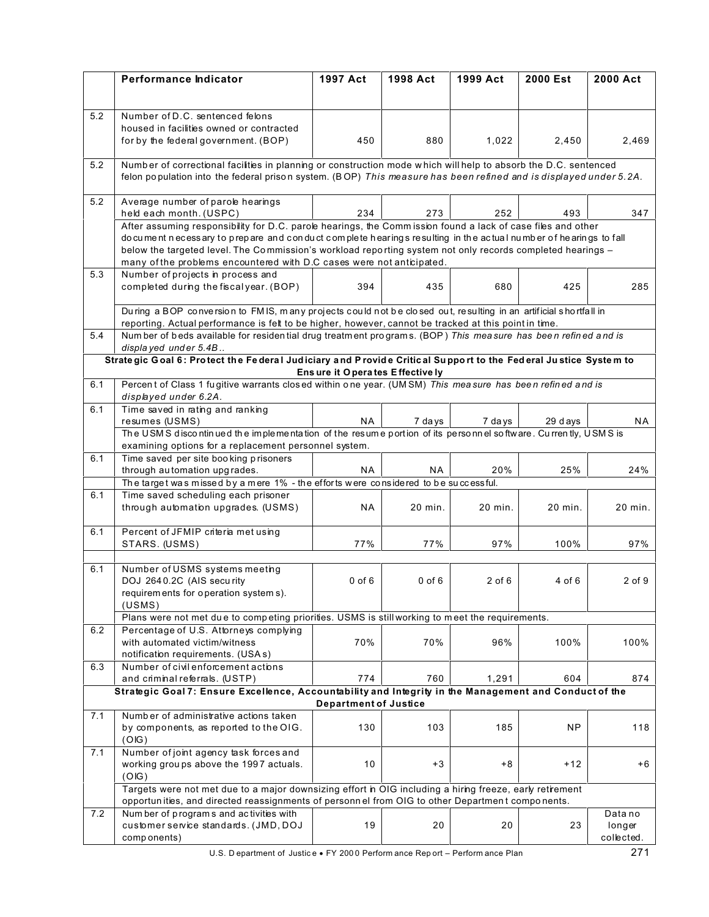|     | Performance Indicator                                                                                                                                                                                       | 1997 Act                       | 1998 Act   | 1999 Act   | 2000 Est   | <b>2000 Act</b> |  |  |
|-----|-------------------------------------------------------------------------------------------------------------------------------------------------------------------------------------------------------------|--------------------------------|------------|------------|------------|-----------------|--|--|
|     |                                                                                                                                                                                                             |                                |            |            |            |                 |  |  |
| 5.2 | Number of D.C. sentenced felons                                                                                                                                                                             |                                |            |            |            |                 |  |  |
|     | housed in facilities owned or contracted                                                                                                                                                                    |                                |            |            |            |                 |  |  |
|     | for by the federal government. (BOP)                                                                                                                                                                        | 450                            | 880        | 1,022      | 2,450      | 2,469           |  |  |
|     |                                                                                                                                                                                                             |                                |            |            |            |                 |  |  |
| 5.2 | Number of correctional facilities in planning or construction mode which will help to absorb the D.C. sentenced                                                                                             |                                |            |            |            |                 |  |  |
|     | felon population into the federal prison system. (BOP) This measure has been refined and is displayed under 5.2A.                                                                                           |                                |            |            |            |                 |  |  |
| 5.2 | Average number of parole hearings                                                                                                                                                                           |                                |            |            |            |                 |  |  |
|     | held each month. (USPC)                                                                                                                                                                                     | 234                            | 273        | 252        | 493        | 347             |  |  |
|     | After assuming responsibility for D.C. parole hearings, the Commission found a lack of case files and other                                                                                                 |                                |            |            |            |                 |  |  |
|     | do cument necessary to prepare and conduct complete hearings resulting in the actual number of hearings to fall                                                                                             |                                |            |            |            |                 |  |  |
|     | below the targeted level. The Commission's workload reporting system not only records completed hearings -                                                                                                  |                                |            |            |            |                 |  |  |
|     | many of the problems encountered with D.C cases were not anticipated.                                                                                                                                       |                                |            |            |            |                 |  |  |
| 5.3 | Number of projects in process and<br>completed during the fiscal year. (BOP)                                                                                                                                | 394                            | 435        | 680        | 425        | 285             |  |  |
|     |                                                                                                                                                                                                             |                                |            |            |            |                 |  |  |
|     | During a BOP conversion to FMIS, many projects could not be closed out, resulting in an artificial shortfall in                                                                                             |                                |            |            |            |                 |  |  |
|     | reporting. Actual performance is felt to be higher, however, cannot be tracked at this point in time.                                                                                                       |                                |            |            |            |                 |  |  |
| 5.4 | Num ber of beds available for residential drug treatment programs. (BOP) This measure has been refined and is                                                                                               |                                |            |            |            |                 |  |  |
|     | displayed under 5.4B                                                                                                                                                                                        |                                |            |            |            |                 |  |  |
|     | Strategic Goal 6: Protect the Federal Judiciary and Provide Critical Support to the Federal Justice System to                                                                                               |                                |            |            |            |                 |  |  |
|     |                                                                                                                                                                                                             | Ensure it Operates Effectively |            |            |            |                 |  |  |
| 6.1 | Percent of Class 1 fugitive warrants closed within one year. (UM SM) This mea sure has been refined and is<br>displayed under 6.2A.                                                                         |                                |            |            |            |                 |  |  |
| 6.1 | Time saved in rating and ranking                                                                                                                                                                            |                                |            |            |            |                 |  |  |
|     | resumes (USMS)                                                                                                                                                                                              | ΝA                             | 7 days     | 7 days     | 29 days    | ΝA              |  |  |
|     | The USMS discontinued the implementation of the resume portion of its personnel software. Currently, USMS is                                                                                                |                                |            |            |            |                 |  |  |
|     | examining options for a replacement personnel system.                                                                                                                                                       |                                |            |            |            |                 |  |  |
| 6.1 | Time saved per site booking prisoners                                                                                                                                                                       |                                |            |            |            |                 |  |  |
|     | through automation upgrades.                                                                                                                                                                                | <b>NA</b>                      | <b>NA</b>  | 20%        | 25%        | 24%             |  |  |
| 6.1 | The target was missed by a mere 1% - the efforts were considered to be successful.<br>Time saved scheduling each prisoner                                                                                   |                                |            |            |            |                 |  |  |
|     | through automation upgrades. (USMS)                                                                                                                                                                         | ΝA                             | 20 min.    | 20 min.    | 20 min.    | 20 min.         |  |  |
|     |                                                                                                                                                                                                             |                                |            |            |            |                 |  |  |
| 6.1 | Percent of JFMIP criteria met using                                                                                                                                                                         |                                |            |            |            |                 |  |  |
|     | STARS. (USMS)                                                                                                                                                                                               | 77%                            | 77%        | 97%        | 100%       | 97%             |  |  |
|     |                                                                                                                                                                                                             |                                |            |            |            |                 |  |  |
| 6.1 | Number of USMS systems meeting                                                                                                                                                                              |                                |            |            |            |                 |  |  |
|     | DOJ 2640.2C (AIS security<br>requirements for operation system s).                                                                                                                                          | $0$ of $6$                     | $0$ of $6$ | $2$ of $6$ | $4$ of $6$ | 2 of 9          |  |  |
|     | (USMS)                                                                                                                                                                                                      |                                |            |            |            |                 |  |  |
|     | Plans were not met due to competing priorities. USMS is still working to meet the requirements.                                                                                                             |                                |            |            |            |                 |  |  |
| 6.2 | Percentage of U.S. Attorneys complying                                                                                                                                                                      |                                |            |            |            |                 |  |  |
|     | with automated victim/witness                                                                                                                                                                               | 70%                            | 70%        | 96%        | 100%       | 100%            |  |  |
|     | notification requirements. (USAs)                                                                                                                                                                           |                                |            |            |            |                 |  |  |
| 6.3 | Number of civil enforcement actions                                                                                                                                                                         |                                |            |            |            |                 |  |  |
|     | and criminal referrals. (USTP)<br>Strategic Goal 7: Ensure Excellence, Accountability and Integrity in the Management and Conduct of the                                                                    | 774                            | 760        | 1,291      | 604        | 874             |  |  |
|     |                                                                                                                                                                                                             | <b>Department of Justice</b>   |            |            |            |                 |  |  |
| 7.1 | Number of administrative actions taken                                                                                                                                                                      |                                |            |            |            |                 |  |  |
|     | by components, as reported to the OIG.                                                                                                                                                                      | 130                            | 103        | 185        | <b>NP</b>  | 118             |  |  |
|     | (OIG)                                                                                                                                                                                                       |                                |            |            |            |                 |  |  |
| 7.1 | Number of joint agency task forces and                                                                                                                                                                      |                                |            |            |            |                 |  |  |
|     | working groups above the 1997 actuals.                                                                                                                                                                      | 10                             | $+3$       | $+8$       | $+12$      | +6              |  |  |
|     | (OIG)                                                                                                                                                                                                       |                                |            |            |            |                 |  |  |
|     | Targets were not met due to a major downsizing effort in OIG including a hiring freeze, early retirement<br>opportunities, and directed reassignments of personnel from OIG to other Department components. |                                |            |            |            |                 |  |  |
| 7.2 | Number of programs and activities with                                                                                                                                                                      |                                |            |            |            | Data no         |  |  |
|     | customer service standards. (JMD, DOJ                                                                                                                                                                       | 19                             | 20         | 20         | 23         | longer          |  |  |
|     | comp onents)                                                                                                                                                                                                |                                |            |            |            | collected.      |  |  |